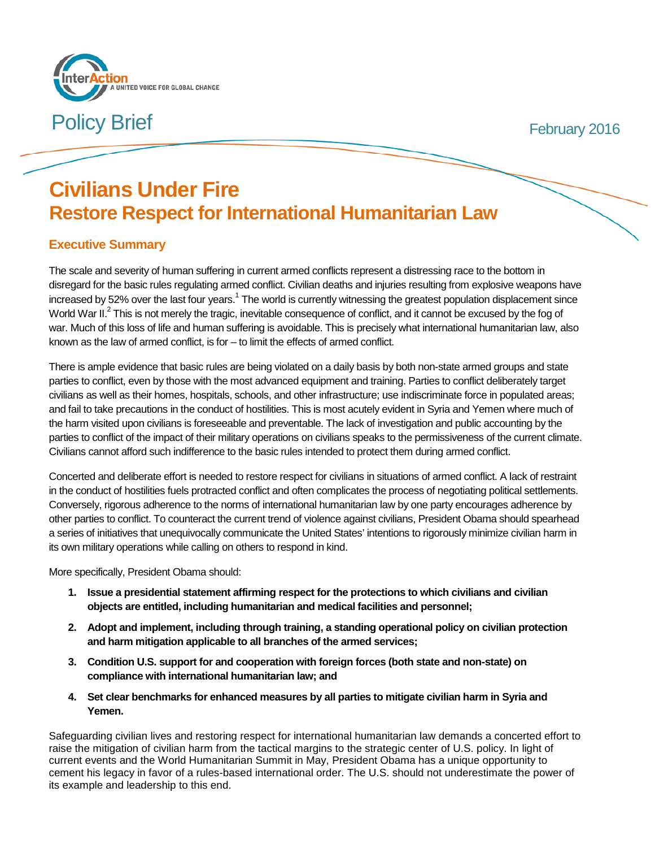

**Policy Brief February 2016** 

# **Civilians Under Fire Restore Respect for International Humanitarian Law**

# **Executive Summary**

The scale and severity of human suffering in current armed conflicts represent a distressing race to the bottom in disregard for the basic rules regulating armed conflict. Civilian deaths and injuries resulting from explosive weapons have increased by 52% over the last four years.<sup>1</sup> The world is currently witnessing the greatest population displacement since World War II.<sup>2</sup> This is not merely the tragic, inevitable consequence of conflict, and it cannot be excused by the fog of war. Much of this loss of life and human suffering is avoidable. This is precisely what international humanitarian law, also known as the law of armed conflict, is for – to limit the effects of armed conflict.

There is ample evidence that basic rules are being violated on a daily basis by both non-state armed groups and state parties to conflict, even by those with the most advanced equipment and training. Parties to conflict deliberately target civilians as well as their homes, hospitals, schools, and other infrastructure; use indiscriminate force in populated areas; and fail to take precautions in the conduct of hostilities. This is most acutely evident in Syria and Yemen where much of the harm visited upon civilians is foreseeable and preventable. The lack of investigation and public accounting by the parties to conflict of the impact of their military operations on civilians speaks to the permissiveness of the current climate. Civilians cannot afford such indifference to the basic rules intended to protect them during armed conflict.

Concerted and deliberate effort is needed to restore respect for civilians in situations of armed conflict. A lack of restraint in the conduct of hostilities fuels protracted conflict and often complicates the process of negotiating political settlements. Conversely, rigorous adherence to the norms of international humanitarian law by one party encourages adherence by other parties to conflict. To counteract the current trend of violence against civilians, President Obama should spearhead a series of initiatives that unequivocally communicate the United States' intentions to rigorously minimize civilian harm in its own military operations while calling on others to respond in kind.

#### More specifically, President Obama should:

- **1. Issue a presidential statement affirming respect for the protections to which civilians and civilian objects are entitled, including humanitarian and medical facilities and personnel;**
- **2. Adopt and implement, including through training, a standing operational policy on civilian protection and harm mitigation applicable to all branches of the armed services;**
- **3. Condition U.S. support for and cooperation with foreign forces (both state and non-state) on compliance with international humanitarian law; and**
- **4. Set clear benchmarks for enhanced measures by all parties to mitigate civilian harm in Syria and Yemen.**

Safeguarding civilian lives and restoring respect for international humanitarian law demands a concerted effort to raise the mitigation of civilian harm from the tactical margins to the strategic center of U.S. policy. In light of current events and the World Humanitarian Summit in May, President Obama has a unique opportunity to cement his legacy in favor of a rules-based international order. The U.S. should not underestimate the power of its example and leadership to this end.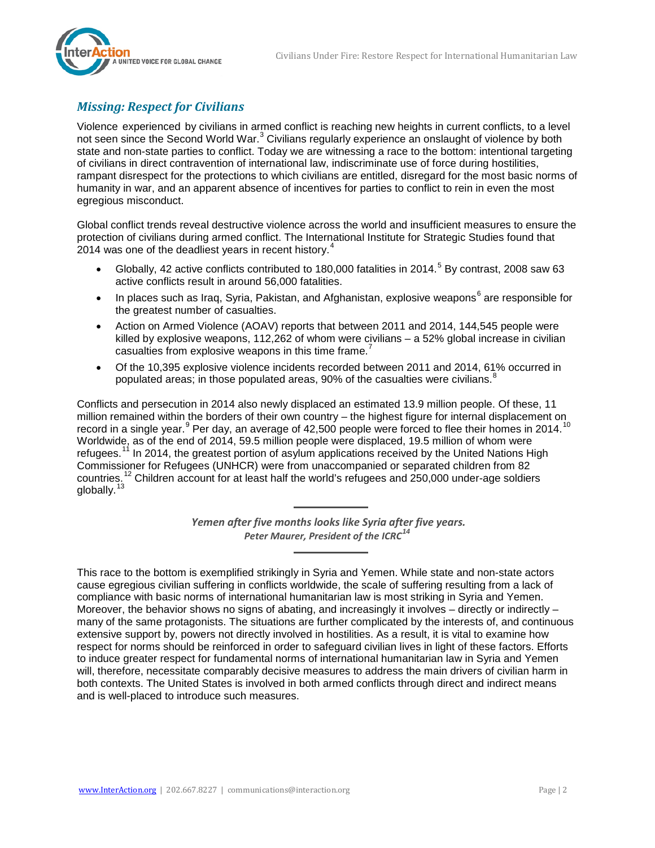

## *Missing: Respect for Civilians*

Violence experienced by civilians in armed conflict is reaching new heights in current conflicts, to a level not seen since the Second World War.<sup>[3](#page-11-2)</sup> Civilians regularly experience an onslaught of violence by both state and non-state parties to conflict. Today we are witnessing a race to the bottom: intentional targeting of civilians in direct contravention of international law, indiscriminate use of force during hostilities, rampant disrespect for the protections to which civilians are entitled, disregard for the most basic norms of humanity in war, and an apparent absence of incentives for parties to conflict to rein in even the most egregious misconduct.

Global conflict trends reveal destructive violence across the world and insufficient measures to ensure the protection of civilians during armed conflict. The International Institute for Strategic Studies found that 201[4](#page-11-3) was one of the deadliest years in recent history.<sup>4</sup>

- Globally, 42 active conflicts contributed to 180,000 fatalities in 2014.<sup>[5](#page-11-4)</sup> By contrast, 2008 saw 63 active conflicts result in around 56,000 fatalities.
- In places such as Iraq, Syria, Pakistan, and Afghanistan, explosive weapons $^6$  $^6$  are responsible for the greatest number of casualties.
- Action on Armed Violence (AOAV) reports that between 2011 and 2014, 144,545 people were killed by explosive weapons, 112,262 of whom were civilians – a 52% global increase in civilian casualties from explosive weapons in this time frame.<sup>[7](#page-11-6)</sup>
- Of the 10,395 explosive violence incidents recorded between 2011 and 2014, 61% occurred in populated areas; in those populated areas, 90% of the casualties were civilians. $\degree$

Conflicts and persecution in 2014 also newly displaced an estimated 13.9 million people. Of these, 11 million remained within the borders of their own country – the highest figure for internal displacement on record in a single year.<sup>[9](#page-11-8)</sup> Per day, an average of 42,500 people were forced to flee their homes in 2014.<sup>[10](#page-11-9)</sup> Worldwide, as of the end of 2014, 59.5 million people were displaced, 19.5 million of whom were refugees.<sup>[11](#page-11-10)</sup> In 2014, the greatest portion of asylum applications received by the United Nations High Commissioner for Refugees (UNHCR) were from unaccompanied or separated children from 82 countries.<sup>[12](#page-11-11)</sup> Children account for at least half the world's refugees and 250,000 under-age soldiers globally.<sup>[13](#page-11-12)</sup>

> *Yemen after five months looks like Syria after five years. Peter Maurer, President of the ICRC[14](#page-11-13)*

This race to the bottom is exemplified strikingly in Syria and Yemen. While state and non-state actors cause egregious civilian suffering in conflicts worldwide, the scale of suffering resulting from a lack of compliance with basic norms of international humanitarian law is most striking in Syria and Yemen. Moreover, the behavior shows no signs of abating, and increasingly it involves – directly or indirectly – many of the same protagonists. The situations are further complicated by the interests of, and continuous extensive support by, powers not directly involved in hostilities. As a result, it is vital to examine how respect for norms should be reinforced in order to safeguard civilian lives in light of these factors. Efforts to induce greater respect for fundamental norms of international humanitarian law in Syria and Yemen will, therefore, necessitate comparably decisive measures to address the main drivers of civilian harm in both contexts. The United States is involved in both armed conflicts through direct and indirect means and is well-placed to introduce such measures.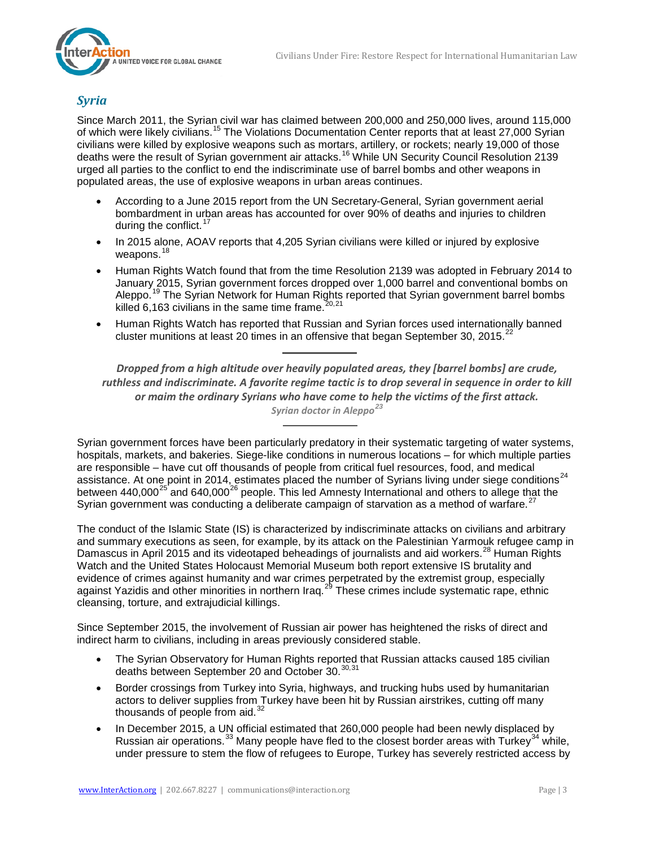

## *Syria*

Since March 2011, the Syrian civil war has claimed between 200,000 and 250,000 lives, around 115,000 of which were likely civilians.<sup>[15](#page-12-0)</sup> The Violations Documentation Center reports that at least 27,000 Syrian civilians were killed by explosive weapons such as mortars, artillery, or rockets; nearly 19,000 of those deaths were the result of Syrian government air attacks.<sup>[16](#page-12-1)</sup> While UN Security Council Resolution 2139 urged all parties to the conflict to end the indiscriminate use of barrel bombs and other weapons in populated areas, the use of explosive weapons in urban areas continues.

- According to a June 2015 report from the UN Secretary-General, Syrian government aerial bombardment in urban areas has accounted for over 90% of deaths and injuries to children during the conflict.<sup>[17](#page-12-2)</sup>
- In 2015 alone, AOAV reports that 4,205 Syrian civilians were killed or injured by explosive weapons.<sup>[18](#page-12-3)</sup>
- Human Rights Watch found that from the time Resolution 2139 was adopted in February 2014 to January 2015, Syrian government forces dropped over 1,000 barrel and conventional bombs on Aleppo.<sup>[19](#page-12-4)</sup> The Syrian Network for Human Rights reported that Syrian government barrel bombs killed 6,163 civilians in the same time frame.  $20,21$  $20,21$  $20,21$
- Human Rights Watch has reported that Russian and Syrian forces used internationally banned cluster munitions at least 20 times in an offensive that began September 30, 2015.<sup>[22](#page-12-7)</sup>

*Dropped from a high altitude over heavily populated areas, they [barrel bombs] are crude, ruthless and indiscriminate. A favorite regime tactic is to drop several in sequence in order to kill or maim the ordinary Syrians who have come to help the victims of the first attack. Syrian doctor in Aleppo[23](#page-12-8)*

Syrian government forces have been particularly predatory in their systematic targeting of water systems, hospitals, markets, and bakeries. Siege-like conditions in numerous locations – for which multiple parties are responsible – have cut off thousands of people from critical fuel resources, food, and medical assistance. At one point in 2014, estimates placed the number of Syrians living under siege conditions<sup>[24](#page-12-9)</sup> between 440,000<sup>[25](#page-12-10)</sup> and 640,000<sup>[26](#page-12-11)</sup> people. This led Amnesty International and others to allege that the Syrian government was conducting a deliberate campaign of starvation as a method of warfare.<sup>[27](#page-12-12)</sup>

The conduct of the Islamic State (IS) is characterized by indiscriminate attacks on civilians and arbitrary and summary executions as seen, for example, by its attack on the Palestinian Yarmouk refugee camp in Damascus in April 2015 and its videotaped beheadings of journalists and aid workers.<sup>[28](#page-12-13)</sup> Human Rights Watch and the United States Holocaust Memorial Museum both report extensive IS brutality and evidence of crimes against humanity and war crimes perpetrated by the extremist group, especially against Yazidis and other minorities in northern Iraq.<sup>[29](#page-12-14)</sup> These crimes include systematic rape, ethnic cleansing, torture, and extrajudicial killings.

Since September 2015, the involvement of Russian air power has heightened the risks of direct and indirect harm to civilians, including in areas previously considered stable.

- The Syrian Observatory for Human Rights reported that Russian attacks caused 185 civilian deaths between September 20 and October [30](#page-12-15).<sup>30,[31](#page-12-16)</sup>
- Border crossings from Turkey into Syria, highways, and trucking hubs used by humanitarian actors to deliver supplies from Turkey have been hit by Russian airstrikes, cutting off many thousands of people from aid.<sup>[32](#page-12-17)</sup>
- In December 2015, a UN official estimated that 260,000 people had been newly displaced by Russian air operations.<sup>[33](#page-12-18)</sup> Many people have fled to the closest border areas with Turkey<sup>[34](#page-12-19)</sup> while, under pressure to stem the flow of refugees to Europe, Turkey has severely restricted access by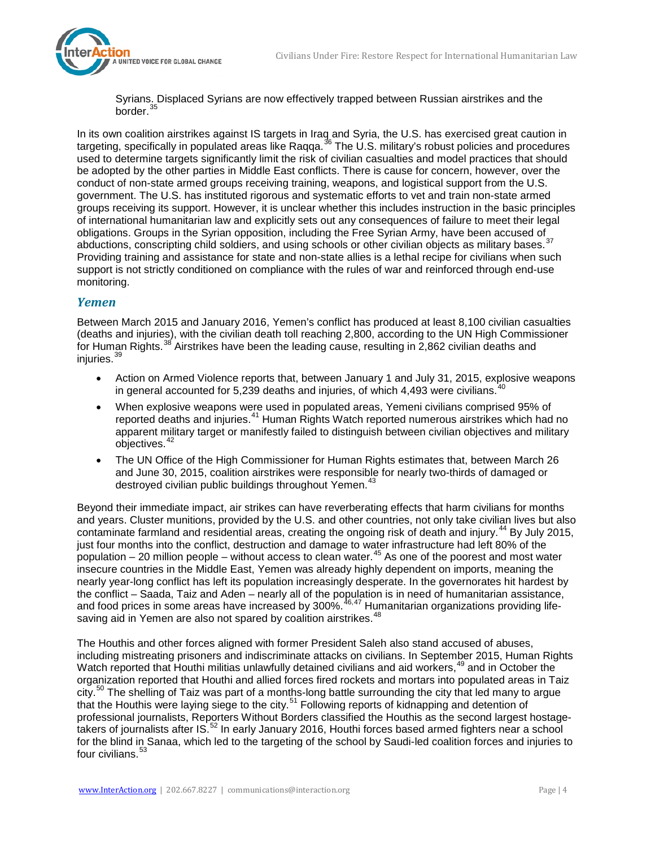

Syrians. Displaced Syrians are now effectively trapped between Russian airstrikes and the border.<sup>[35](#page-13-0)</sup>

In its own coalition airstrikes against IS targets in Iraq and Syria, the U.S. has exercised great caution in targeting, specifically in populated areas like Raqqa.<sup>[36](#page-13-1)</sup> The U.S. military's robust policies and procedures used to determine targets significantly limit the risk of civilian casualties and model practices that should be adopted by the other parties in Middle East conflicts. There is cause for concern, however, over the conduct of non-state armed groups receiving training, weapons, and logistical support from the U.S. government. The U.S. has instituted rigorous and systematic efforts to vet and train non-state armed groups receiving its support. However, it is unclear whether this includes instruction in the basic principles of international humanitarian law and explicitly sets out any consequences of failure to meet their legal obligations. Groups in the Syrian opposition, including the Free Syrian Army, have been accused of abductions, conscripting child soldiers, and using schools or other civilian objects as military bases.<sup>[37](#page-13-2)</sup> Providing training and assistance for state and non-state allies is a lethal recipe for civilians when such support is not strictly conditioned on compliance with the rules of war and reinforced through end-use monitoring.

### *Yemen*

Between March 2015 and January 2016, Yemen's conflict has produced at least 8,100 civilian casualties (deaths and injuries), with the civilian death toll reaching 2,800, according to the UN High Commissioner for Human Rights.<sup>[38](#page-13-3)</sup> Airstrikes have been the leading cause, resulting in 2,862 civilian deaths and injuries.<sup>[39](#page-13-4)</sup>

- Action on Armed Violence reports that, between January 1 and July 31, 2015, explosive weapons in general accounted for 5,239 deaths and injuries, of which  $4.493$  were civilians.
- When explosive weapons were used in populated areas, Yemeni civilians comprised 95% of reported deaths and injuries.<sup>[41](#page-13-6)</sup> Human Rights Watch reported numerous airstrikes which had no apparent military target or manifestly failed to distinguish between civilian objectives and military objectives.<sup>[42](#page-13-7)</sup>
- The UN Office of the High Commissioner for Human Rights estimates that, between March 26 and June 30, 2015, coalition airstrikes were responsible for nearly two-thirds of damaged or destroyed civilian public buildings throughout Yemen.<sup>[43](#page-13-8)</sup>

Beyond their immediate impact, air strikes can have reverberating effects that harm civilians for months and years. Cluster munitions, provided by the U.S. and other countries, not only take civilian lives but also contaminate farmland and residential areas, creating the ongoing risk of death and injury.<sup>[44](#page-13-9)</sup> By July 2015, just four months into the conflict, destruction and damage to water infrastructure had left 80% of the population – 20 million people – without access to clean water.<sup>[45](#page-13-10)</sup> As one of the poorest and most water insecure countries in the Middle East, Yemen was already highly dependent on imports, meaning the nearly year-long conflict has left its population increasingly desperate. In the governorates hit hardest by the conflict – Saada, Taiz and Aden – nearly all of the population is in need of humanitarian assistance, and food prices in some areas have increased by 300%. <sup>[46,](#page-13-11)[47](#page-13-12)</sup> Humanitarian organizations providing life-saving aid in Yemen are also not spared by coalition airstrikes.<sup>[48](#page-13-13)</sup>

The Houthis and other forces aligned with former President Saleh also stand accused of abuses, including mistreating prisoners and indiscriminate attacks on civilians. In September 2015, Human Rights Watch reported that Houthi militias unlawfully detained civilians and aid workers, <sup>[49](#page-13-14)</sup> and in October the organization reported that Houthi and allied forces fired rockets and mortars into populated areas in Taiz city.<sup>[50](#page-13-15)</sup> The shelling of Taiz was part of a months-long battle surrounding the city that led many to argue that the Houthis were laying siege to the city.<sup>[51](#page-13-16)</sup> Following reports of kidnapping and detention of professional journalists, Reporters Without Borders classified the Houthis as the second largest hostagetakers of journalists after IS.[52](#page-13-1) In early January 2016, Houthi forces based armed fighters near a school for the blind in Sanaa, which led to the targeting of the school by Saudi-led coalition forces and injuries to four civilians.<sup>[53](#page-13-17)</sup>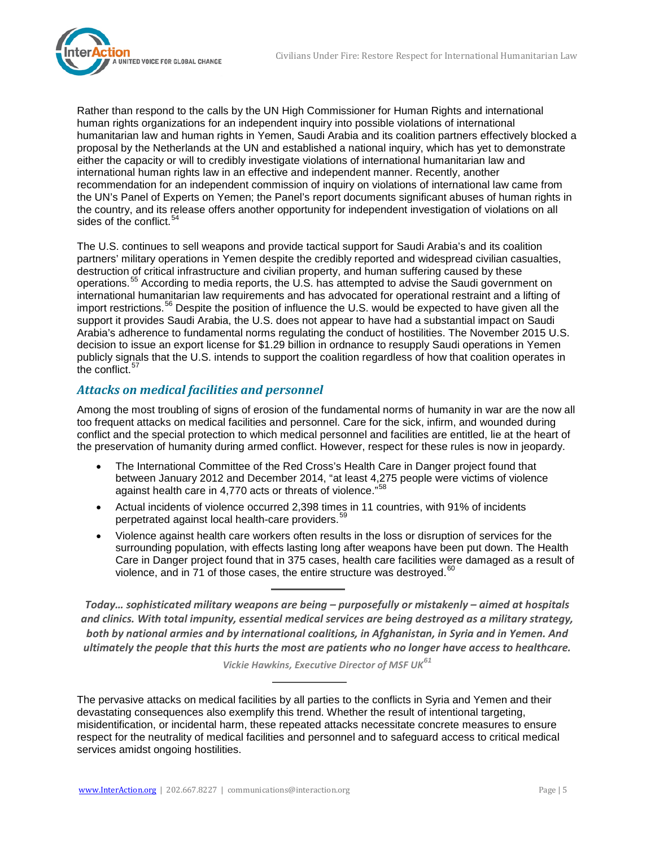

Rather than respond to the calls by the UN High Commissioner for Human Rights and international human rights organizations for an independent inquiry into possible violations of international humanitarian law and human rights in Yemen, Saudi Arabia and its coalition partners effectively blocked a proposal by the Netherlands at the UN and established a national inquiry, which has yet to demonstrate either the capacity or will to credibly investigate violations of international humanitarian law and international human rights law in an effective and independent manner. Recently, another recommendation for an independent commission of inquiry on violations of international law came from the UN's Panel of Experts on Yemen; the Panel's report documents significant abuses of human rights in the country, and its release offers another opportunity for independent investigation of violations on all sides of the conflict.<sup>[54](#page-14-0)</sup>

The U.S. continues to sell weapons and provide tactical support for Saudi Arabia's and its coalition partners' military operations in Yemen despite the credibly reported and widespread civilian casualties, destruction of critical infrastructure and civilian property, and human suffering caused by these operations.[55](#page-14-1) According to media reports, the U.S. has attempted to advise the Saudi government on international humanitarian law requirements and has advocated for operational restraint and a lifting of import restrictions.<sup>[56](#page-14-2)</sup> Despite the position of influence the U.S. would be expected to have given all the support it provides Saudi Arabia, the U.S. does not appear to have had a substantial impact on Saudi Arabia's adherence to fundamental norms regulating the conduct of hostilities. The November 2015 U.S. decision to issue an export license for \$1.29 billion in ordnance to resupply Saudi operations in Yemen publicly signals that the U.S. intends to support the coalition regardless of how that coalition operates in the conflict. $57$ 

## *Attacks on medical facilities and personnel*

Among the most troubling of signs of erosion of the fundamental norms of humanity in war are the now all too frequent attacks on medical facilities and personnel. Care for the sick, infirm, and wounded during conflict and the special protection to which medical personnel and facilities are entitled, lie at the heart of the preservation of humanity during armed conflict. However, respect for these rules is now in jeopardy.

- The International Committee of the Red Cross's Health Care in Danger project found that between January 2012 and December 2014, "at least 4,275 people were victims of violence against health care in 4,770 acts or threats of violence."<sup>[58](#page-14-4)</sup>
- Actual incidents of violence occurred 2,398 times in 11 countries, with 91% of incidents perpetrated against local health-care providers.<sup>[59](#page-14-5)</sup>
- Violence against health care workers often results in the loss or disruption of services for the surrounding population, with effects lasting long after weapons have been put down. The Health Care in Danger project found that in 375 cases, health care facilities were damaged as a result of violence, and in 71 of those cases, the entire structure was destroyed.  $60$

*Today… sophisticated military weapons are being – purposefully or mistakenly – aimed at hospitals and clinics. With total impunity, essential medical services are being destroyed as a military strategy, both by national armies and by international coalitions, in Afghanistan, in Syria and in Yemen. And ultimately the people that this hurts the most are patients who no longer have access to healthcare.*

*Vickie Hawkins, Executive Director of MSF UK[61](#page-14-7)*

The pervasive attacks on medical facilities by all parties to the conflicts in Syria and Yemen and their devastating consequences also exemplify this trend. Whether the result of intentional targeting, misidentification, or incidental harm, these repeated attacks necessitate concrete measures to ensure respect for the neutrality of medical facilities and personnel and to safeguard access to critical medical services amidst ongoing hostilities.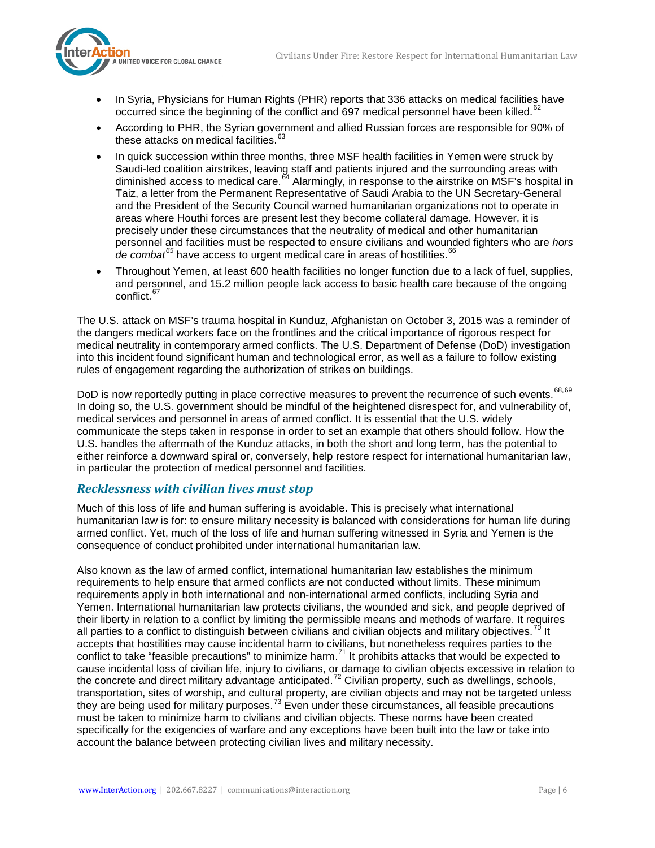

- In Syria, Physicians for Human Rights (PHR) reports that 336 attacks on medical facilities have occurred since the beginning of the conflict and 697 medical personnel have been killed. $62$
- According to PHR, the Syrian government and allied Russian forces are responsible for 90% of these attacks on medical facilities. $63$
- In quick succession within three months, three MSF health facilities in Yemen were struck by Saudi-led coalition airstrikes, leaving staff and patients injured and the surrounding areas with diminished access to medical care.[64](#page-15-2) Alarmingly, in response to the airstrike on MSF's hospital in Taiz, a letter from the Permanent Representative of Saudi Arabia to the UN Secretary-General and the President of the Security Council warned humanitarian organizations not to operate in areas where Houthi forces are present lest they become collateral damage. However, it is precisely under these circumstances that the neutrality of medical and other humanitarian personnel and facilities must be respected to ensure civilians and wounded fighters who are *hors de combat<sup>[65](#page-15-3)</sup>* have access to urgent medical care in areas of hostilities.<sup>[66](#page-15-4)</sup>
- Throughout Yemen, at least 600 health facilities no longer function due to a lack of fuel, supplies, and personnel, and 15.2 million people lack access to basic health care because of the ongoing conflict.<sup>6</sup>

The U.S. attack on MSF's trauma hospital in Kunduz, Afghanistan on October 3, 2015 was a reminder of the dangers medical workers face on the frontlines and the critical importance of rigorous respect for medical neutrality in contemporary armed conflicts. The U.S. Department of Defense (DoD) investigation into this incident found significant human and technological error, as well as a failure to follow existing rules of engagement regarding the authorization of strikes on buildings.

DoD is now reportedly putting in place corrective measures to prevent the recurrence of such events. [68](#page-15-6),[69](#page-15-7) In doing so, the U.S. government should be mindful of the heightened disrespect for, and vulnerability of, medical services and personnel in areas of armed conflict. It is essential that the U.S. widely communicate the steps taken in response in order to set an example that others should follow. How the U.S. handles the aftermath of the Kunduz attacks, in both the short and long term, has the potential to either reinforce a downward spiral or, conversely, help restore respect for international humanitarian law, in particular the protection of medical personnel and facilities.

### *Recklessness with civilian lives must stop*

Much of this loss of life and human suffering is avoidable. This is precisely what international humanitarian law is for: to ensure military necessity is balanced with considerations for human life during armed conflict. Yet, much of the loss of life and human suffering witnessed in Syria and Yemen is the consequence of conduct prohibited under international humanitarian law.

Also known as the law of armed conflict, international humanitarian law establishes the minimum requirements to help ensure that armed conflicts are not conducted without limits. These minimum requirements apply in both international and non-international armed conflicts, including Syria and Yemen. International humanitarian law protects civilians, the wounded and sick, and people deprived of their liberty in relation to a conflict by limiting the permissible means and methods of warfare. It requires all parties to a conflict to distinguish between civilians and civilian objects and military objectives.<sup>[70](#page-15-8)</sup> It accepts that hostilities may cause incidental harm to civilians, but nonetheless requires parties to the conflict to take "feasible precautions" to minimize harm.<sup>[71](#page-15-9)</sup> It prohibits attacks that would be expected to cause incidental loss of civilian life, injury to civilians, or damage to civilian objects excessive in relation to the concrete and direct military advantage anticipated.<sup>[72](#page-15-10)</sup> Civilian property, such as dwellings, schools, transportation, sites of worship, and cultural property, are civilian objects and may not be targeted unless they are being used for military purposes.<sup>[73](#page-15-11)</sup> Even under these circumstances, all feasible precautions must be taken to minimize harm to civilians and civilian objects. These norms have been created specifically for the exigencies of warfare and any exceptions have been built into the law or take into account the balance between protecting civilian lives and military necessity.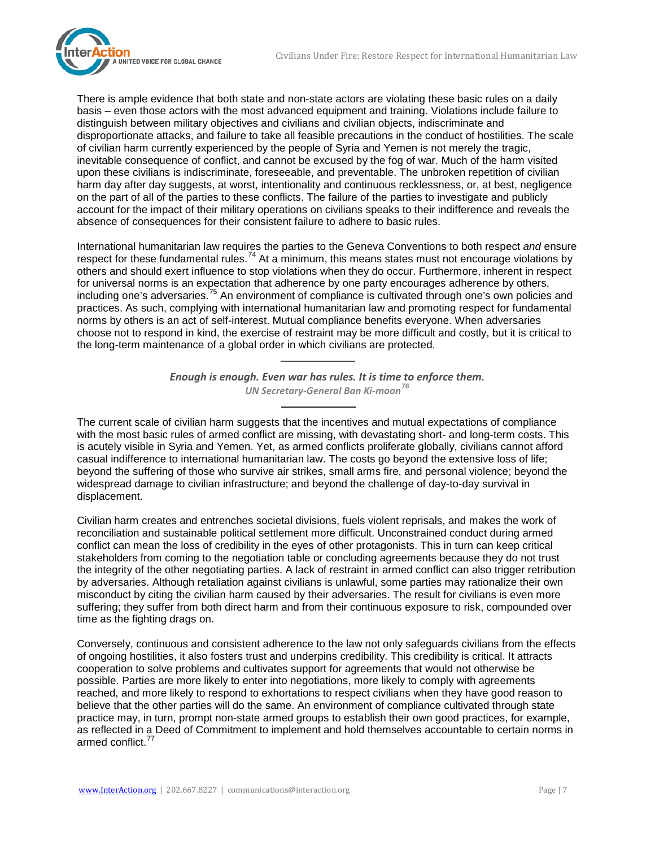

There is ample evidence that both state and non-state actors are violating these basic rules on a daily basis – even those actors with the most advanced equipment and training. Violations include failure to distinguish between military objectives and civilians and civilian objects, indiscriminate and disproportionate attacks, and failure to take all feasible precautions in the conduct of hostilities. The scale of civilian harm currently experienced by the people of Syria and Yemen is not merely the tragic, inevitable consequence of conflict, and cannot be excused by the fog of war. Much of the harm visited upon these civilians is indiscriminate, foreseeable, and preventable. The unbroken repetition of civilian harm day after day suggests, at worst, intentionality and continuous recklessness, or, at best, negligence on the part of all of the parties to these conflicts. The failure of the parties to investigate and publicly account for the impact of their military operations on civilians speaks to their indifference and reveals the absence of consequences for their consistent failure to adhere to basic rules.

International humanitarian law requires the parties to the Geneva Conventions to both respect *and* ensure respect for these fundamental rules.<sup>[74](#page-15-12)</sup> At a minimum, this means states must not encourage violations by others and should exert influence to stop violations when they do occur. Furthermore, inherent in respect for universal norms is an expectation that adherence by one party encourages adherence by others, including one's adversaries.<sup>[75](#page-15-13)</sup> An environment of compliance is cultivated through one's own policies and practices. As such, complying with international humanitarian law and promoting respect for fundamental norms by others is an act of self-interest. Mutual compliance benefits everyone. When adversaries choose not to respond in kind, the exercise of restraint may be more difficult and costly, but it is critical to the long-term maintenance of a global order in which civilians are protected.

> *Enough is enough. Even war has rules. It is time to enforce them. UN Secretary-General Ban Ki-moon [76](#page-15-14)*

The current scale of civilian harm suggests that the incentives and mutual expectations of compliance with the most basic rules of armed conflict are missing, with devastating short- and long-term costs. This is acutely visible in Syria and Yemen. Yet, as armed conflicts proliferate globally, civilians cannot afford casual indifference to international humanitarian law. The costs go beyond the extensive loss of life; beyond the suffering of those who survive air strikes, small arms fire, and personal violence; beyond the widespread damage to civilian infrastructure; and beyond the challenge of day-to-day survival in displacement.

Civilian harm creates and entrenches societal divisions, fuels violent reprisals, and makes the work of reconciliation and sustainable political settlement more difficult. Unconstrained conduct during armed conflict can mean the loss of credibility in the eyes of other protagonists. This in turn can keep critical stakeholders from coming to the negotiation table or concluding agreements because they do not trust the integrity of the other negotiating parties. A lack of restraint in armed conflict can also trigger retribution by adversaries. Although retaliation against civilians is unlawful, some parties may rationalize their own misconduct by citing the civilian harm caused by their adversaries. The result for civilians is even more suffering; they suffer from both direct harm and from their continuous exposure to risk, compounded over time as the fighting drags on.

Conversely, continuous and consistent adherence to the law not only safeguards civilians from the effects of ongoing hostilities, it also fosters trust and underpins credibility. This credibility is critical. It attracts cooperation to solve problems and cultivates support for agreements that would not otherwise be possible. Parties are more likely to enter into negotiations, more likely to comply with agreements reached, and more likely to respond to exhortations to respect civilians when they have good reason to believe that the other parties will do the same. An environment of compliance cultivated through state practice may, in turn, prompt non-state armed groups to establish their own good practices, for example, as reflected in a Deed of Commitment to implement and hold themselves accountable to certain norms in armed conflict.<sup>7</sup>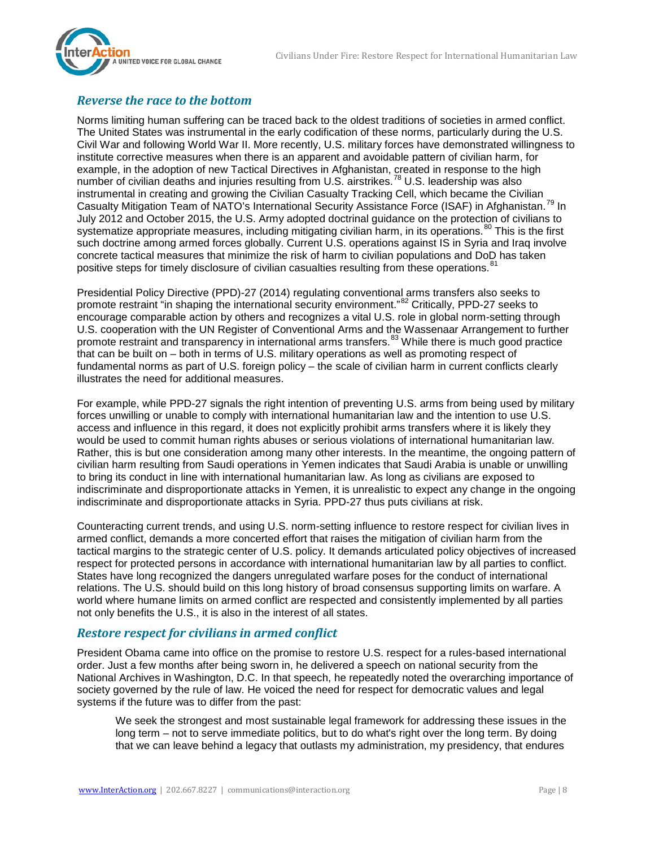

## *Reverse the race to the bottom*

Norms limiting human suffering can be traced back to the oldest traditions of societies in armed conflict. The United States was instrumental in the early codification of these norms, particularly during the U.S. Civil War and following World War II. More recently, U.S. military forces have demonstrated willingness to institute corrective measures when there is an apparent and avoidable pattern of civilian harm, for example, in the adoption of new Tactical Directives in Afghanistan, created in response to the high number of civilian deaths and injuries resulting from U.S. airstrikes.<sup>[78](#page-15-16)</sup> U.S. leadership was also instrumental in creating and growing the Civilian Casualty Tracking Cell, which became the Civilian Casualty Mitigation Team of NATO's International Security Assistance Force (ISAF) in Afghanistan.<sup>[79](#page-15-17)</sup> In July 2012 and October 2015, the U.S. Army adopted doctrinal guidance on the protection of civilians to systematize appropriate measures, including mitigating civilian harm, in its operations.<sup>[80](#page-15-18)</sup> This is the first such doctrine among armed forces globally. Current U.S. operations against IS in Syria and Iraq involve concrete tactical measures that minimize the risk of harm to civilian populations and DoD has taken positive steps for timely disclosure of civilian casualties resulting from these operations.<sup>[81](#page-15-1)</sup>

Presidential Policy Directive (PPD)-27 (2014) regulating conventional arms transfers also seeks to promote restraint "in shaping the international security environment."<sup>[82](#page-15-19)</sup> Critically, PPD-27 seeks to encourage comparable action by others and recognizes a vital U.S. role in global norm-setting through U.S. cooperation with the UN Register of Conventional Arms and the Wassenaar Arrangement to further promote restraint and transparency in international arms transfers.<sup>[83](#page-15-20)</sup> While there is much good practice that can be built on – both in terms of U.S. military operations as well as promoting respect of fundamental norms as part of U.S. foreign policy – the scale of civilian harm in current conflicts clearly illustrates the need for additional measures.

For example, while PPD-27 signals the right intention of preventing U.S. arms from being used by military forces unwilling or unable to comply with international humanitarian law and the intention to use U.S. access and influence in this regard, it does not explicitly prohibit arms transfers where it is likely they would be used to commit human rights abuses or serious violations of international humanitarian law. Rather, this is but one consideration among many other interests. In the meantime, the ongoing pattern of civilian harm resulting from Saudi operations in Yemen indicates that Saudi Arabia is unable or unwilling to bring its conduct in line with international humanitarian law. As long as civilians are exposed to indiscriminate and disproportionate attacks in Yemen, it is unrealistic to expect any change in the ongoing indiscriminate and disproportionate attacks in Syria. PPD-27 thus puts civilians at risk.

Counteracting current trends, and using U.S. norm-setting influence to restore respect for civilian lives in armed conflict, demands a more concerted effort that raises the mitigation of civilian harm from the tactical margins to the strategic center of U.S. policy. It demands articulated policy objectives of increased respect for protected persons in accordance with international humanitarian law by all parties to conflict. States have long recognized the dangers unregulated warfare poses for the conduct of international relations. The U.S. should build on this long history of broad consensus supporting limits on warfare. A world where humane limits on armed conflict are respected and consistently implemented by all parties not only benefits the U.S., it is also in the interest of all states.

## *Restore respect for civilians in armed conflict*

President Obama came into office on the promise to restore U.S. respect for a rules-based international order. Just a few months after being sworn in, he delivered a speech on national security from the National Archives in Washington, D.C. In that speech, he repeatedly noted the overarching importance of society governed by the rule of law. He voiced the need for respect for democratic values and legal systems if the future was to differ from the past:

We seek the strongest and most sustainable legal framework for addressing these issues in the long term – not to serve immediate politics, but to do what's right over the long term. By doing that we can leave behind a legacy that outlasts my administration, my presidency, that endures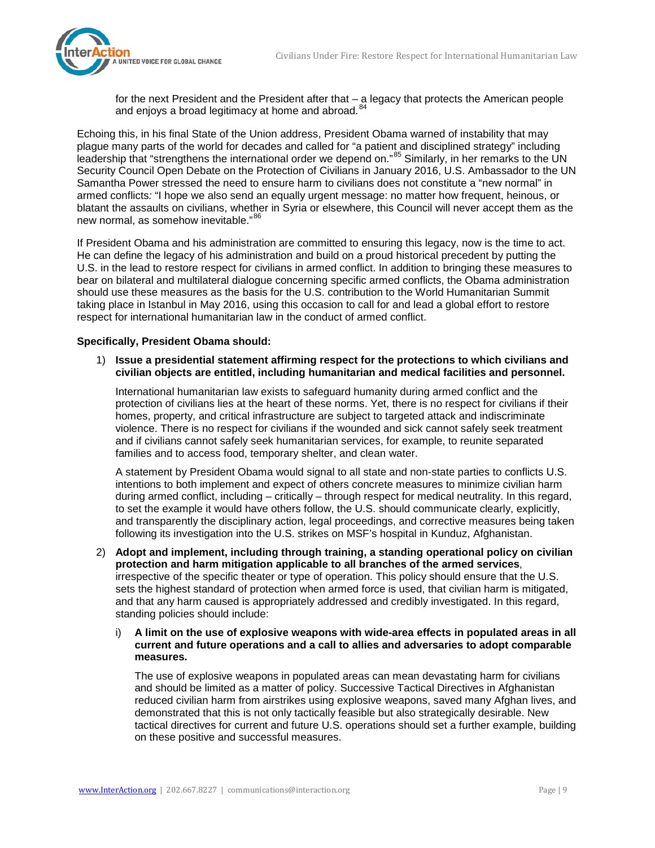

for the next President and the President after that – a legacy that protects the American people and enjoys a broad legitimacy at home and abroad*.* [84](#page-15-21)

Echoing this, in his final State of the Union address, President Obama warned of instability that may plague many parts of the world for decades and called for "a patient and disciplined strategy" including leadership that "strengthens the international order we depend on."<sup>[85](#page-15-22)</sup> Similarly, in her remarks to the UN Security Council Open Debate on the Protection of Civilians in January 2016, U.S. Ambassador to the UN Samantha Power stressed the need to ensure harm to civilians does not constitute a "new normal" in armed conflicts*:* "I hope we also send an equally urgent message: no matter how frequent, heinous, or blatant the assaults on civilians, whether in Syria or elsewhere, this Council will never accept them as the new normal, as somehow inevitable."[86](#page-15-23)

If President Obama and his administration are committed to ensuring this legacy, now is the time to act. He can define the legacy of his administration and build on a proud historical precedent by putting the U.S. in the lead to restore respect for civilians in armed conflict. In addition to bringing these measures to bear on bilateral and multilateral dialogue concerning specific armed conflicts, the Obama administration should use these measures as the basis for the U.S. contribution to the World Humanitarian Summit taking place in Istanbul in May 2016, using this occasion to call for and lead a global effort to restore respect for international humanitarian law in the conduct of armed conflict.

#### **Specifically, President Obama should:**

1) **Issue a presidential statement affirming respect for the protections to which civilians and civilian objects are entitled, including humanitarian and medical facilities and personnel.** 

International humanitarian law exists to safeguard humanity during armed conflict and the protection of civilians lies at the heart of these norms. Yet, there is no respect for civilians if their homes, property, and critical infrastructure are subject to targeted attack and indiscriminate violence. There is no respect for civilians if the wounded and sick cannot safely seek treatment and if civilians cannot safely seek humanitarian services, for example, to reunite separated families and to access food, temporary shelter, and clean water.

A statement by President Obama would signal to all state and non-state parties to conflicts U.S. intentions to both implement and expect of others concrete measures to minimize civilian harm during armed conflict, including – critically – through respect for medical neutrality. In this regard, to set the example it would have others follow, the U.S. should communicate clearly, explicitly, and transparently the disciplinary action, legal proceedings, and corrective measures being taken following its investigation into the U.S. strikes on MSF's hospital in Kunduz, Afghanistan.

- 2) **Adopt and implement, including through training, a standing operational policy on civilian protection and harm mitigation applicable to all branches of the armed services**, irrespective of the specific theater or type of operation. This policy should ensure that the U.S. sets the highest standard of protection when armed force is used, that civilian harm is mitigated, and that any harm caused is appropriately addressed and credibly investigated. In this regard, standing policies should include:
	- i) **A limit on the use of explosive weapons with wide-area effects in populated areas in all current and future operations and a call to allies and adversaries to adopt comparable measures.**

The use of explosive weapons in populated areas can mean devastating harm for civilians and should be limited as a matter of policy. Successive Tactical Directives in Afghanistan reduced civilian harm from airstrikes using explosive weapons, saved many Afghan lives, and demonstrated that this is not only tactically feasible but also strategically desirable. New tactical directives for current and future U.S. operations should set a further example, building on these positive and successful measures.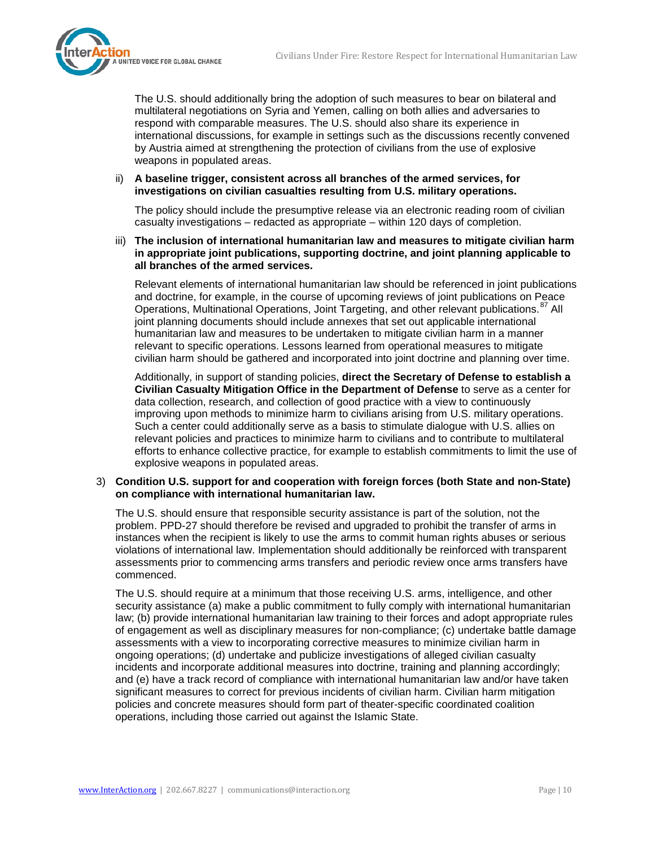

The U.S. should additionally bring the adoption of such measures to bear on bilateral and multilateral negotiations on Syria and Yemen, calling on both allies and adversaries to respond with comparable measures. The U.S. should also share its experience in international discussions, for example in settings such as the discussions recently convened by Austria aimed at strengthening the protection of civilians from the use of explosive weapons in populated areas.

#### ii) **A baseline trigger, consistent across all branches of the armed services, for investigations on civilian casualties resulting from U.S. military operations.**

The policy should include the presumptive release via an electronic reading room of civilian casualty investigations – redacted as appropriate – within 120 days of completion.

iii) **The inclusion of international humanitarian law and measures to mitigate civilian harm in appropriate joint publications, supporting doctrine, and joint planning applicable to all branches of the armed services.**

Relevant elements of international humanitarian law should be referenced in joint publications and doctrine, for example, in the course of upcoming reviews of joint publications on Peace Operations, Multinational Operations, Joint Targeting, and other relevant publications.<sup>[87](#page-15-24)</sup> All joint planning documents should include annexes that set out applicable international humanitarian law and measures to be undertaken to mitigate civilian harm in a manner relevant to specific operations. Lessons learned from operational measures to mitigate civilian harm should be gathered and incorporated into joint doctrine and planning over time.

Additionally, in support of standing policies, **direct the Secretary of Defense to establish a Civilian Casualty Mitigation Office in the Department of Defense** to serve as a center for data collection, research, and collection of good practice with a view to continuously improving upon methods to minimize harm to civilians arising from U.S. military operations. Such a center could additionally serve as a basis to stimulate dialogue with U.S. allies on relevant policies and practices to minimize harm to civilians and to contribute to multilateral efforts to enhance collective practice, for example to establish commitments to limit the use of explosive weapons in populated areas.

#### 3) **Condition U.S. support for and cooperation with foreign forces (both State and non-State) on compliance with international humanitarian law.**

The U.S. should ensure that responsible security assistance is part of the solution, not the problem. PPD-27 should therefore be revised and upgraded to prohibit the transfer of arms in instances when the recipient is likely to use the arms to commit human rights abuses or serious violations of international law. Implementation should additionally be reinforced with transparent assessments prior to commencing arms transfers and periodic review once arms transfers have commenced.

The U.S. should require at a minimum that those receiving U.S. arms, intelligence, and other security assistance (a) make a public commitment to fully comply with international humanitarian law; (b) provide international humanitarian law training to their forces and adopt appropriate rules of engagement as well as disciplinary measures for non-compliance; (c) undertake battle damage assessments with a view to incorporating corrective measures to minimize civilian harm in ongoing operations; (d) undertake and publicize investigations of alleged civilian casualty incidents and incorporate additional measures into doctrine, training and planning accordingly; and (e) have a track record of compliance with international humanitarian law and/or have taken significant measures to correct for previous incidents of civilian harm. Civilian harm mitigation policies and concrete measures should form part of theater-specific coordinated coalition operations, including those carried out against the Islamic State.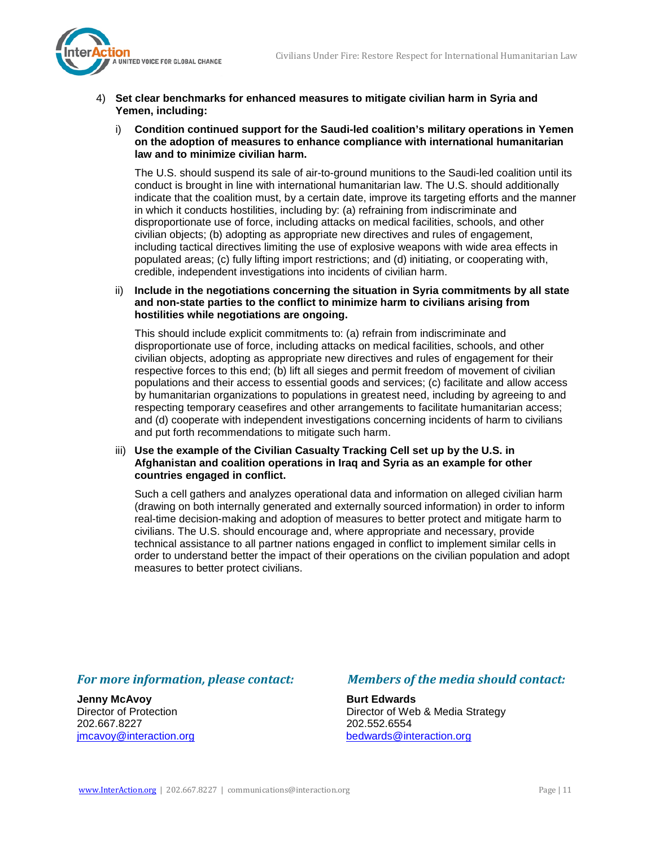

- 4) **Set clear benchmarks for enhanced measures to mitigate civilian harm in Syria and Yemen, including:**
	- i) **Condition continued support for the Saudi-led coalition's military operations in Yemen on the adoption of measures to enhance compliance with international humanitarian law and to minimize civilian harm.**

The U.S. should suspend its sale of air-to-ground munitions to the Saudi-led coalition until its conduct is brought in line with international humanitarian law. The U.S. should additionally indicate that the coalition must, by a certain date, improve its targeting efforts and the manner in which it conducts hostilities, including by: (a) refraining from indiscriminate and disproportionate use of force, including attacks on medical facilities, schools, and other civilian objects; (b) adopting as appropriate new directives and rules of engagement, including tactical directives limiting the use of explosive weapons with wide area effects in populated areas; (c) fully lifting import restrictions; and (d) initiating, or cooperating with, credible, independent investigations into incidents of civilian harm.

ii) **Include in the negotiations concerning the situation in Syria commitments by all state and non-state parties to the conflict to minimize harm to civilians arising from hostilities while negotiations are ongoing.**

This should include explicit commitments to: (a) refrain from indiscriminate and disproportionate use of force, including attacks on medical facilities, schools, and other civilian objects, adopting as appropriate new directives and rules of engagement for their respective forces to this end; (b) lift all sieges and permit freedom of movement of civilian populations and their access to essential goods and services; (c) facilitate and allow access by humanitarian organizations to populations in greatest need, including by agreeing to and respecting temporary ceasefires and other arrangements to facilitate humanitarian access; and (d) cooperate with independent investigations concerning incidents of harm to civilians and put forth recommendations to mitigate such harm.

#### iii) **Use the example of the Civilian Casualty Tracking Cell set up by the U.S. in Afghanistan and coalition operations in Iraq and Syria as an example for other countries engaged in conflict.**

Such a cell gathers and analyzes operational data and information on alleged civilian harm (drawing on both internally generated and externally sourced information) in order to inform real-time decision-making and adoption of measures to better protect and mitigate harm to civilians. The U.S. should encourage and, where appropriate and necessary, provide technical assistance to all partner nations engaged in conflict to implement similar cells in order to understand better the impact of their operations on the civilian population and adopt measures to better protect civilians.

**Jenny McAvoy Burt Edwards** 202.667.8227<br>imcavoy@interaction.org bedwards@int

## *For more information, please contact: Members of the media should contact:*

Director of Protection **Director of Web & Media Strategy** [bedwards@interaction.org](mailto:bedwards@interaction.org)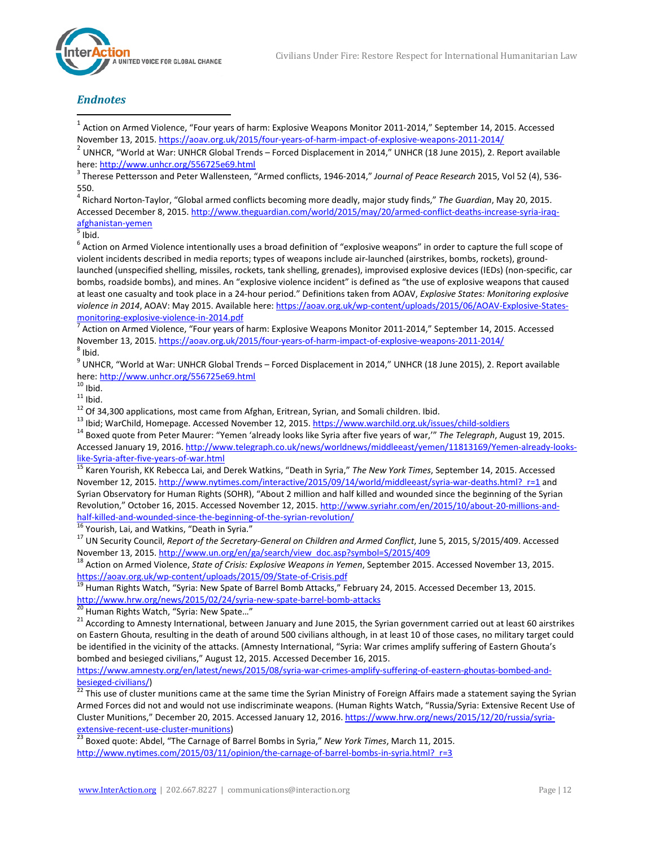## *Endnotes*

<span id="page-11-0"></span> $1$  Action on Armed Violence, "Four years of harm: Explosive Weapons Monitor 2011-2014," September 14, 2015. Accessed

<span id="page-11-1"></span>November 13, 2015[. https://aoav.org.uk/2015/four-years-of-harm-impact-of-explosive-weapons-2011-2014/](https://aoav.org.uk/2015/four-years-of-harm-impact-of-explosive-weapons-2011-2014/) <sup>2</sup> UNHCR, "World at War: UNHCR Global Trends – Forced Displacement in 2014," UNHCR (18 June 2015), 2. Report available here[: http://www.unhcr.org/556725e69.html](http://www.unhcr.org/556725e69.html)<br><sup>3</sup> Therese Pettersson and Peter Wallensteen, "Armed conflicts, 1946-2014," *Journal of Peace Research* 2015, Vol 52 (4), 536-

<span id="page-11-2"></span>550.

<span id="page-11-3"></span><sup>4</sup> Richard Norton-Taylor, "Global armed conflicts becoming more deadly, major study finds," *The Guardian*, May 20, 2015. Accessed December 8, 2015. [http://www.theguardian.com/world/2015/may/20/armed-conflict-deaths-increase-syria-iraq](http://www.theguardian.com/world/2015/may/20/armed-conflict-deaths-increase-syria-iraq-afghanistan-yemen)[afghanistan-yemen](http://www.theguardian.com/world/2015/may/20/armed-conflict-deaths-increase-syria-iraq-afghanistan-yemen)<br><sup>5</sup> Ibid.

<span id="page-11-4"></span>

<span id="page-11-5"></span> $6$  Action on Armed Violence intentionally uses a broad definition of "explosive weapons" in order to capture the full scope of violent incidents described in media reports; types of weapons include air-launched (airstrikes, bombs, rockets), groundlaunched (unspecified shelling, missiles, rockets, tank shelling, grenades), improvised explosive devices (IEDs) (non-specific, car bombs, roadside bombs), and mines. An "explosive violence incident" is defined as "the use of explosive weapons that caused at least one casualty and took place in a 24-hour period." Definitions taken from AOAV, *Explosive States: Monitoring explosive violence in 2014*, AOAV: May 2015. Available here[: https://aoav.org.uk/wp-content/uploads/2015/06/AOAV-Explosive-States](https://aoav.org.uk/wp-content/uploads/2015/06/AOAV-Explosive-States-monitoring-explosive-violence-in-2014.pdf)[monitoring-explosive-violence-in-2014.pdf](https://aoav.org.uk/wp-content/uploads/2015/06/AOAV-Explosive-States-monitoring-explosive-violence-in-2014.pdf)<br><sup>7</sup> Action on Armed Violence, "Four years of harm: Explosive Weapons Monitor 2011-2014," September 14, 2015. Accessed

<span id="page-11-6"></span>November 13, 2015[. https://aoav.org.uk/2015/four-years-of-harm-impact-of-explosive-weapons-2011-2014/](https://aoav.org.uk/2015/four-years-of-harm-impact-of-explosive-weapons-2011-2014/)<br><sup>8</sup> Ibid.

<span id="page-11-8"></span><span id="page-11-7"></span><sup>9</sup> UNHCR, "World at War: UNHCR Global Trends – Forced Displacement in 2014," UNHCR (18 June 2015), 2. Report available

<span id="page-11-11"></span><span id="page-11-10"></span>

<span id="page-11-13"></span><span id="page-11-12"></span>

<span id="page-11-9"></span>here: <u>http://www.unhcr.org/556725e69.html</u><br><sup>10</sup> Ibid.<br><sup>11</sup> Ibid.<br><sup>12</sup> Of 34,300 applications, most came from Afghan, Eritrean, Syrian, and Somali children. Ibid.<br><sup>13</sup> Ibid; WarChild, Homepage. Accessed November 12, 2015. Accessed January 19, 2016. http://www.telegraph.co.uk/news/worldnews/middleeast/yemen/11813169/Yemen-already-looks-<br>like-Syria-after-five-years-of-war.html

<sup>15</sup> Karen Yourish, KK Rebecca Lai, and Derek Watkins, "Death in Syria," The New York Times, September 14, 2015. Accessed November 12, 2015[. http://www.nytimes.com/interactive/2015/09/14/world/middleeast/syria-war-deaths.html?\\_r=1](http://www.nytimes.com/interactive/2015/09/14/world/middleeast/syria-war-deaths.html?_r=1) and Syrian Observatory for Human Rights (SOHR), "About 2 million and half killed and wounded since the beginning of the Syrian Revolution," October 16, 2015. Accessed November 12, 2015[. http://www.syriahr.com/en/2015/10/about-20-millions-and](http://www.syriahr.com/en/2015/10/about-20-millions-and-half-killed-and-wounded-since-the-beginning-of-the-syrian-revolution/)[half-killed-and-wounded-since-the-beginning-of-the-syrian-revolution/](http://www.syriahr.com/en/2015/10/about-20-millions-and-half-killed-and-wounded-since-the-beginning-of-the-syrian-revolution/)<br><sup>16</sup> Yourish, Lai, and Watkins, "Death in Syria."<br><sup>17</sup> UN Security Council, *Report of the Secretary-General on Children and Armed Conflict*, June 5, 20

November 13, 2015[. http://www.un.org/en/ga/search/view\\_doc.asp?symbol=S/2015/409](http://www.un.org/en/ga/search/view_doc.asp?symbol=S/2015/409) 18 Action on Armed Violence, *State of Crisis: Explosive Weapons in Yemen*, September 2015. Accessed November 13, 2015.

<https://aoav.org.uk/wp-content/uploads/2015/09/State-of-Crisis.pdf><br><sup>19</sup> Human Rights Watch, "Syria: New Spate of Barrel Bomb Attacks," February 24, 2015. Accessed December 13, 2015.

<http://www.hrw.org/news/2015/02/24/syria-new-spate-barrel-bomb-attacks><br><sup>20</sup> Human Rights Watch, "Syria: New Spate..."<br><sup>21</sup> According to Amnesty International, between January and June 2015, the Syrian government carried ou on Eastern Ghouta, resulting in the death of around 500 civilians although, in at least 10 of those cases, no military target could be identified in the vicinity of the attacks. (Amnesty International, "Syria: War crimes amplify suffering of Eastern Ghouta's bombed and besieged civilians," August 12, 2015. Accessed December 16, 2015.

https://www.amnesty.org/en/latest/news/2015/08/syria-war-crimes-amplify-suffering-of-eastern-ghoutas-bombed-and-<br>besieged-civilians/)

besieged civilians,<br><sup>22</sup> This use of cluster munitions came at the same time the Syrian Ministry of Foreign Affairs made a statement saying the Syrian Armed Forces did not and would not use indiscriminate weapons. (Human Rights Watch, "Russia/Syria: Extensive Recent Use of Cluster Munitions," December 20, 2015. Accessed January 12, 2016. https://www.hrw.org/news/2015/12/20/russia/syria-<br>extensive-recent-use-cluster-munitions)<br><sup>23</sup> Royad guate: Abdale (CH)

Boxed quote: Abdel, "The Carnage of Barrel Bombs in Syria," *New York Times*, March 11, 2015. http://www.nytimes.com/2015/03/11/opinion/the-carnage-of-barrel-bombs-in-syria.html? r=3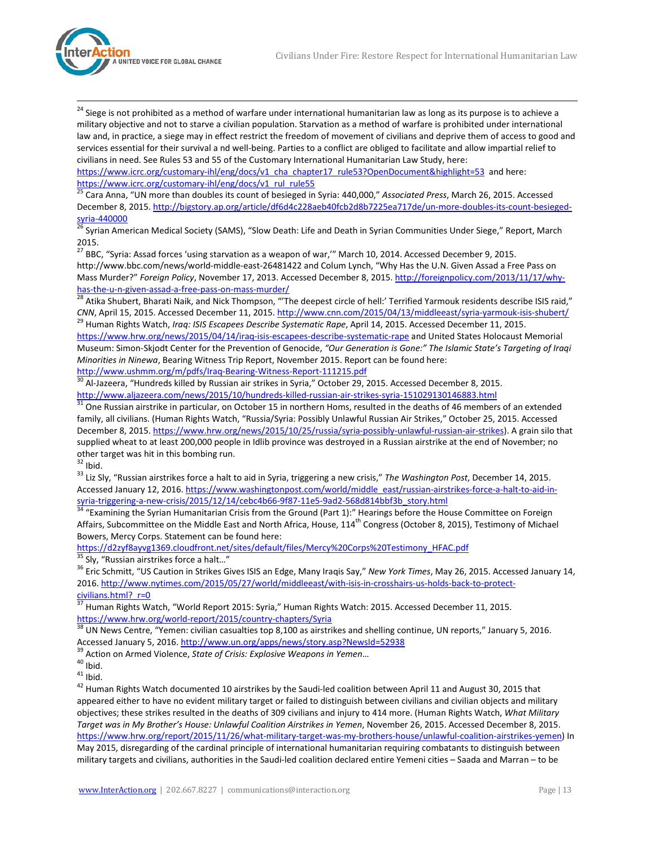

<span id="page-12-9"></span><sup>24</sup> Siege is not prohibited as a method of warfare under international humanitarian law as long as its purpose is to achieve a military objective and not to starve a civilian population. Starvation as a method of warfare is prohibited under international law and, in practice, a siege may in effect restrict the freedom of movement of civilians and deprive them of access to good and services essential for their survival a nd well-being. Parties to a conflict are obliged to facilitate and allow impartial relief to civilians in need. See Rules 53 and 55 of the Customary International Humanitarian Law Study, here:

[https://www.icrc.org/customary-ihl/eng/docs/v1\\_cha\\_chapter17\\_rule53?OpenDocument&highlight=53](https://www.icrc.org/customary-ihl/eng/docs/v1_cha_chapter17_rule53?OpenDocument&highlight=53) and here:<br>https://www.icrc.org/customary-ihl/eng/docs/v1\_rul\_rule55

<span id="page-12-10"></span><sup>25</sup> Cara Anna, "UN more than doubles its count of besieged in Syria: 440,000," *Associated Press*, March 26, 2015. Accessed December 8, 2015[. http://bigstory.ap.org/article/df6d4c228aeb40fcb2d8b7225ea717de/un-more-doubles-its-count-besieged](http://bigstory.ap.org/article/df6d4c228aeb40fcb2d8b7225ea717de/un-more-doubles-its-count-besieged-syria-440000)[syria-440000](http://bigstory.ap.org/article/df6d4c228aeb40fcb2d8b7225ea717de/un-more-doubles-its-count-besieged-syria-440000) <sup>26</sup> Syrian American Medical Society (SAMS), "Slow Death: Life and Death in Syrian Communities Under Siege," Report, March

<span id="page-12-11"></span>2015.

<span id="page-12-12"></span><sup>27</sup> BBC, "Syria: Assad forces 'using starvation as a weapon of war,'" March 10, 2014. Accessed December 9, 2015. http://www.bbc.com/news/world-middle-east-26481422 and Colum Lynch, "Why Has the U.N. Given Assad a Free Pass on Mass Murder?" *Foreign Policy*, November 17, 2013. Accessed December 8, 2015[. http://foreignpolicy.com/2013/11/17/why-](http://foreignpolicy.com/2013/11/17/why-has-the-u-n-given-assad-a-free-pass-on-mass-murder/)

<span id="page-12-13"></span>[has-the-u-n-given-assad-a-free-pass-on-mass-murder/](http://foreignpolicy.com/2013/11/17/why-has-the-u-n-given-assad-a-free-pass-on-mass-murder/)<br><sup>28</sup> Atika Shubert, Bharati Naik, and Nick Thompson, "'The deepest circle of hell:' Terrified Yarmouk residents describe ISIS raid,"<br>CNN, April 15, 2015. Accessed Decembe <sup>29</sup> Human Rights Watch, Iraq: ISIS Escapees Describe Systematic Rape, April 14, 2015. Accessed December 11, 2015.

<span id="page-12-14"></span><https://www.hrw.org/news/2015/04/14/iraq-isis-escapees-describe-systematic-rape> and United States Holocaust Memorial Museum: Simon-Skjodt Center for the Prevention of Genocide, *"Our Generation is Gone:" The Islamic State's Targeting of Iraqi Minorities in Ninewa*, Bearing Witness Trip Report, November 2015. Report can be found here:

<span id="page-12-15"></span><http://www.ushmm.org/m/pdfs/Iraq-Bearing-Witness-Report-111215.pdf><br><sup>30</sup> Al-Jazeera, "Hundreds killed by Russian air strikes in Syria," October 29, 2015. Accessed December 8, 2015.<br>http://www.aljazeera.com/news/2015/10/hund

<span id="page-12-16"></span> $\frac{31}{31}$  One Russian airstrike in particular, on October 15 in northern Homs, resulted in the deaths of 46 members of an extended family, all civilians. (Human Rights Watch, "Russia/Syria: Possibly Unlawful Russian Air Strikes," October 25, 2015. Accessed December 8, 2015[. https://www.hrw.org/news/2015/10/25/russia/syria-possibly-unlawful-russian-air-strikes\)](https://www.hrw.org/news/2015/10/25/russia/syria-possibly-unlawful-russian-air-strikes). A grain silo that supplied wheat to at least 200,000 people in Idlib province was destroyed in a Russian airstrike at the end of November; no other target was hit in this bombing run.<br><sup>32</sup> Ibid.<br><sup>33</sup> Liz Sly, "Russian airstrikes force a halt to aid in Syria, triggering a new crisis," *The Washington Post*, December 14, 2015.

<span id="page-12-18"></span><span id="page-12-17"></span><span id="page-12-0"></span>Accessed January 12, 2016[. https://www.washingtonpost.com/world/middle\\_east/russian-airstrikes-force-a-halt-to-aid-in](https://www.washingtonpost.com/world/middle_east/russian-airstrikes-force-a-halt-to-aid-in-syria-triggering-a-new-crisis/2015/12/14/cebc4b66-9f87-11e5-9ad2-568d814bbf3b_story.html)[syria-triggering-a-new-crisis/2015/12/14/cebc4b66-9f87-11e5-9ad2-568d814bbf3b\\_story.html](https://www.washingtonpost.com/world/middle_east/russian-airstrikes-force-a-halt-to-aid-in-syria-triggering-a-new-crisis/2015/12/14/cebc4b66-9f87-11e5-9ad2-568d814bbf3b_story.html)<br><sup>34</sup> "Examining the Syrian Humanitarian Crisis from the Ground (Part 1):" Hearings before the House Committee on Foreign

<span id="page-12-19"></span><span id="page-12-1"></span>Affairs, Subcommittee on the Middle East and North Africa, House, 114<sup>th</sup> Congress (October 8, 2015), Testimony of Michael Bowers, Mercy Corps. Statement can be found here:

<span id="page-12-2"></span>[https://d2zyf8ayvg1369.cloudfront.net/sites/default/files/Mercy%20Corps%20Testimony\\_HFAC.pdf](https://d2zyf8ayvg1369.cloudfront.net/sites/default/files/Mercy%20Corps%20Testimony_HFAC.pdf)<br><sup>35</sup> Sly, "Russian airstrikes force a halt..."

<span id="page-12-4"></span><span id="page-12-3"></span><sup>36</sup> Eric Schmitt, "US Caution in Strikes Gives ISIS an Edge, Many Iraqis Say," New York Times, May 26, 2015. Accessed January 14, 2016[. http://www.nytimes.com/2015/05/27/world/middleeast/with-isis-in-crosshairs-us-holds-back-to-protect](http://www.nytimes.com/2015/05/27/world/middleeast/with-isis-in-crosshairs-us-holds-back-to-protect-civilians.html?_r=0)civilians.html? r=0

<span id="page-12-5"></span> $\frac{37}{37}$  Human Rights Watch, "World Report 2015: Syria," Human Rights Watch: 2015. Accessed December 11, 2015.<br>https://www.hrw.org/world-report/2015/country-chapters/Syria

<span id="page-12-6"></span><sup>38</sup> UN News Centre, "Yemen: civilian casualties top 8,100 as airstrikes and shelling continue, UN reports," January 5, 2016.<br>Accessed January 5, 2016. http://www.un.org/apps/news/story.asp?NewsId=52938<br><sup>39</sup> Action on Arm

<span id="page-12-8"></span><span id="page-12-7"></span>

<sup>39</sup> Action on Armed Violence, *State of Crisis: Explosive Weapons in Yemen*...<br><sup>40</sup> Ibid.<br><sup>41</sup> Ibid.<br><sup>42</sup> Human Rights Watch documented 10 airstrikes by the Saudi-led coalition between April 11 and August 30, 2015 that appeared either to have no evident military target or failed to distinguish between civilians and civilian objects and military objectives; these strikes resulted in the deaths of 309 civilians and injury to 414 more. (Human Rights Watch, *What Military Target was in My Brother's House: Unlawful Coalition Airstrikes in Yemen*, November 26, 2015. Accessed December 8, 2015. [https://www.hrw.org/report/2015/11/26/what-military-target-was-my-brothers-house/unlawful-coalition-airstrikes-yemen\)](https://www.hrw.org/report/2015/11/26/what-military-target-was-my-brothers-house/unlawful-coalition-airstrikes-yemen) In May 2015, disregarding of the cardinal principle of international humanitarian requiring combatants to distinguish between military targets and civilians, authorities in the Saudi-led coalition declared entire Yemeni cities – Saada and Marran – to be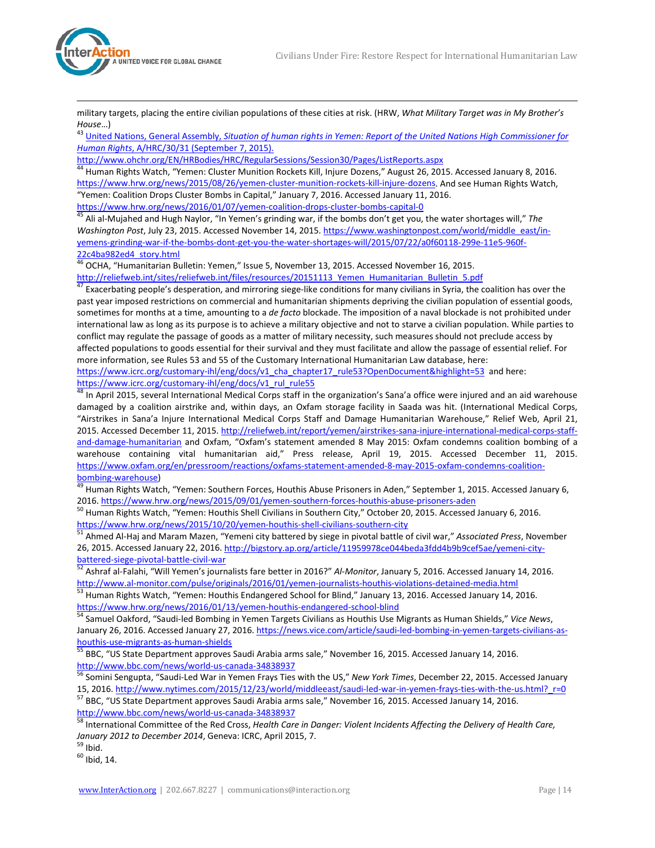

l

military targets, placing the entire civilian populations of these cities at risk. (HRW, *What Military Target was in My Brother's House*…)<br><sup>43</sup> United Nations, General Assembly, *Situation of human rights in Yemen: Report of the United Nations High Commissioner for* 

<span id="page-13-8"></span>*Human Rights*, A/HRC/30/31 (September 7, 2015).

<span id="page-13-9"></span><sup>44</sup> Human Rights Watch, "Yemen: Cluster Munition Rockets Kill, Injure Dozens," August 26, 2015. Accessed January 8, 2016. [https://www.hrw.org/news/2015/08/26/yemen-cluster-munition-rockets-kill-injure-dozens.](https://www.hrw.org/news/2015/08/26/yemen-cluster-munition-rockets-kill-injure-dozens) And see Human Rights Watch, "Yemen: Coalition Drops Cluster Bombs in Capital," January 7, 2016. Accessed January 11, 2016.

<span id="page-13-10"></span><https://www.hrw.org/news/2016/01/07/yemen-coalition-drops-cluster-bombs-capital-0><br><sup>45</sup> Ali al-Mujahed and Hugh Naylor, "In Yemen's grinding war, if the bombs don't get you, the water shortages will," *The Washington Post*, July 23, 2015. Accessed November 14, 2015[. https://www.washingtonpost.com/world/middle\\_east/in](https://www.washingtonpost.com/world/middle_east/in-yemens-grinding-war-if-the-bombs-dont-get-you-the-water-shortages-will/2015/07/22/a0f60118-299e-11e5-960f-22c4ba982ed4_story.html)[yemens-grinding-war-if-the-bombs-dont-get-you-the-water-shortages-will/2015/07/22/a0f60118-299e-11e5-960f-](https://www.washingtonpost.com/world/middle_east/in-yemens-grinding-war-if-the-bombs-dont-get-you-the-water-shortages-will/2015/07/22/a0f60118-299e-11e5-960f-22c4ba982ed4_story.html)[22c4ba982ed4\\_story.html](https://www.washingtonpost.com/world/middle_east/in-yemens-grinding-war-if-the-bombs-dont-get-you-the-water-shortages-will/2015/07/22/a0f60118-299e-11e5-960f-22c4ba982ed4_story.html)

<span id="page-13-11"></span>46 OCHA, "Humanitarian Bulletin: Yemen," Issue 5, November 13, 2015. Accessed November 16, 2015. [http://reliefweb.int/sites/reliefweb.int/files/resources/20151113\\_Yemen\\_Humanitarian\\_Bulletin\\_5.pdf](http://reliefweb.int/sites/reliefweb.int/files/resources/20151113_Yemen_Humanitarian_Bulletin_5.pdf)<br>47 Exacerbating poople's decused:

<span id="page-13-12"></span><sup>47</sup> Exacerbating people's desperation, and mirroring siege-like conditions for many civilians in Syria, the coalition has over the past year imposed restrictions on commercial and humanitarian shipments depriving the civilian population of essential goods, sometimes for months at a time, amounting to a *de facto* blockade. The imposition of a naval blockade is not prohibited under international law as long as its purpose is to achieve a military objective and not to starve a civilian population. While parties to conflict may regulate the passage of goods as a matter of military necessity, such measures should not preclude access by affected populations to goods essential for their survival and they must facilitate and allow the passage of essential relief. For more information, see Rules 53 and 55 of the Customary International Humanitarian Law database, here: [https://www.icrc.org/customary-ihl/eng/docs/v1\\_cha\\_chapter17\\_rule53?OpenDocument&highlight=53](https://www.icrc.org/customary-ihl/eng/docs/v1_cha_chapter17_rule53?OpenDocument&highlight=53) and here:<br>https://www.icrc.org/customary-ihl/eng/docs/v1\_rul\_rule55

<span id="page-13-13"></span><sup>48</sup> In April 2015, several International Medical Corps staff in the organization's Sana'a office were injured and an aid warehouse damaged by a coalition airstrike and, within days, an Oxfam storage facility in Saada was hit. (International Medical Corps, "Airstrikes in Sana'a Injure International Medical Corps Staff and Damage Humanitarian Warehouse," Relief Web, April 21, 2015. Accessed December 11, 2015[. http://reliefweb.int/report/yemen/airstrikes-sana-injure-international-medical-corps-staff](http://reliefweb.int/report/yemen/airstrikes-sana-injure-international-medical-corps-staff-and-damage-humanitarian)[and-damage-humanitarian](http://reliefweb.int/report/yemen/airstrikes-sana-injure-international-medical-corps-staff-and-damage-humanitarian) and Oxfam, "Oxfam's statement amended 8 May 2015: Oxfam condemns coalition bombing of a warehouse containing vital humanitarian aid," Press release, April 19, 2015. Accessed December 11, 2015. [https://www.oxfam.org/en/pressroom/reactions/oxfams-statement-amended-8-may-2015-oxfam-condemns-coalition-](https://www.oxfam.org/en/pressroom/reactions/oxfams-statement-amended-8-may-2015-oxfam-condemns-coalition-bombing-warehouse)

<span id="page-13-14"></span>[bombing-warehouse\)](https://www.oxfam.org/en/pressroom/reactions/oxfams-statement-amended-8-may-2015-oxfam-condemns-coalition-bombing-warehouse)<br><sup>[49](https://www.oxfam.org/en/pressroom/reactions/oxfams-statement-amended-8-may-2015-oxfam-condemns-coalition-bombing-warehouse)</sup> Human Rights Watch, "Yemen: Southern Forces, Houthis Abuse Prisoners in Aden," September 1, 2015. Accessed January 6,<br>2016. https://www.hrw.org/news/2015/09/01/yemen-southern-forces-houthis-abuse-pr

<span id="page-13-15"></span><sup>50</sup> Human Rights Watch, "Yemen: Houthis Shell Civilians in Southern City," October 20, 2015. Accessed January 6, 2016.<br>https://www.hrw.org/news/2015/10/20/yemen-houthis-shell-civilians-southern-city

<span id="page-13-16"></span>51 Ahmed Al-Haj and Maram Mazen, "Yemeni city battered by siege in pivotal battle of civil war," Associated Press, November 26, 2015. Accessed January 22, 2016[. http://bigstory.ap.org/article/11959978ce044beda3fdd4b9b9cef5ae/yemeni-city-](http://bigstory.ap.org/article/11959978ce044beda3fdd4b9b9cef5ae/yemeni-city-battered-siege-pivotal-battle-civil-war)

<span id="page-13-1"></span><span id="page-13-0"></span>[battered-siege-pivotal-battle-civil-war](http://bigstory.ap.org/article/11959978ce044beda3fdd4b9b9cef5ae/yemeni-city-battered-siege-pivotal-battle-civil-war) 52 Ashraf al-Falahi, "batter al-Falahi, "battered-siege-pivotal-battle<br><sup>52</sup> Ashraf al-Falahi, "Will Yemen's journalists fare better in 2016?" *Al-Monitor*, January 5, 2016. Accessed <http://www.al-monitor.com/pulse/originals/2016/01/yemen-journalists-houthis-violations-detained-media.html> 53<br>53 Human Rights Watch, "Yemen: Houthis Endangered School for Blind," January 13, 2016. Accessed January 14, 2016

<span id="page-13-17"></span><span id="page-13-2"></span><https://www.hrw.org/news/2016/01/13/yemen-houthis-endangered-school-blind> <sup>54</sup> Samuel Oakford, "Saudi-led Bombing in Yemen Targets Civilians as Houthis Use Migrants as Human Shields," *Vice News*,

<span id="page-13-3"></span>January 26, 2016. Accessed January 27, 2016. https://news.vice.com/article/saudi-led-bombing-in-yemen-targets-civilians-as-<br>houthis-use-migrants-as-human-shields<br>55 BBC "US State Desember the constituents

BBC, "US State Department approves Saudi Arabia arms sale," November 16, 2015. Accessed January 14, 2016.

<span id="page-13-6"></span><span id="page-13-5"></span><span id="page-13-4"></span><http://www.bbc.com/news/world-us-canada-34838937><br><sup>56</sup> Somini Sengupta, "Saudi-Led War in Yemen Frays Ties with the US," *New York Times*, December 22, 2015. Accessed January<br>15, 2016. http://www.nytimes.com/2015/12/23/worl

<span id="page-13-7"></span><sup>57</sup> BBC, "US State Department approves Saudi Arabia arms sale," November 16, 2015. Accessed January 14, 2016.<br>http://www.bbc.com/news/world-us-canada-34838937

International Committee of the Red Cross, *Health Care in Danger: Violent Incidents Affecting the Delivery of Health Care*, *January 2012 to December 2014*, Geneva: ICRC, April 2015, 7.<br><sup>59</sup> Ibid.<br><sup>60</sup> Ibid, 14.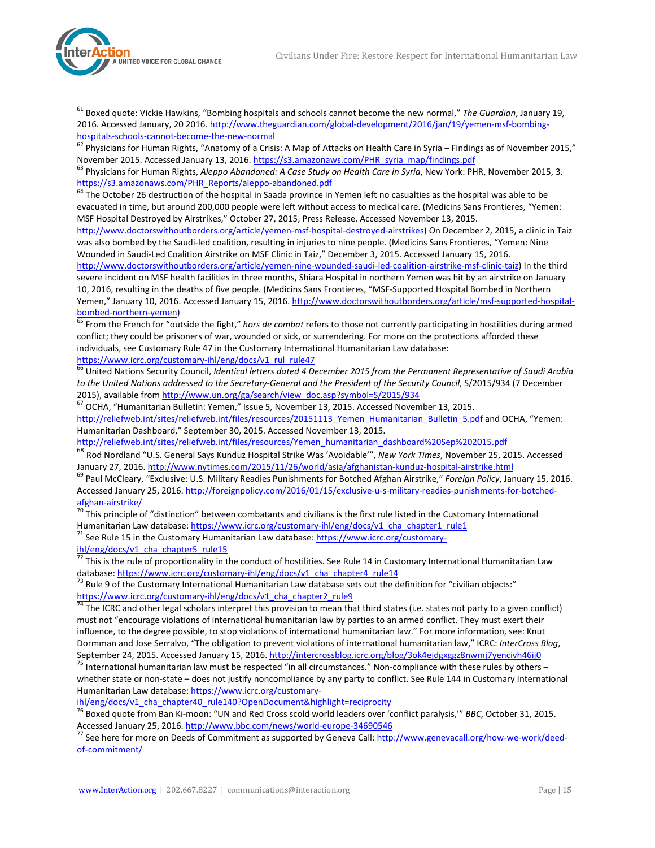

<span id="page-14-7"></span> 61 Boxed quote: Vickie Hawkins, "Bombing hospitals and schools cannot become the new normal," *The Guardian*, January 19, 2016. Accessed January, 20 2016[. http://www.theguardian.com/global-development/2016/jan/19/yemen-msf-bombing-](http://www.theguardian.com/global-development/2016/jan/19/yemen-msf-bombing-hospitals-schools-cannot-become-the-new-normal)

[hospitals-schools-cannot-become-the-new-normal](http://www.theguardian.com/global-development/2016/jan/19/yemen-msf-bombing-hospitals-schools-cannot-become-the-new-normal)<br>
<sup>62</sup> Physicians for Human Rights, "Anatomy of a Crisis: A Map of Attacks on Health Care in Syria – Findings as of November 2015,"<br>
November 2015. Accessed January 13, 2016. h

<sup>63</sup> Physicians for Human Rights, Aleppo Abandoned: A Case Study on Health Care in Syria, New York: PHR, November 2015, 3.<br>https://s3.amazonaws.com/PHR\_Reports/aleppo-abandoned.pdf

 $\frac{64}{10}$  The October 26 destruction of the hospital in Saada province in Yemen left no casualties as the hospital was able to be evacuated in time, but around 200,000 people were left without access to medical care. (Medicins Sans Frontieres, "Yemen: MSF Hospital Destroyed by Airstrikes," October 27, 2015, Press Release. Accessed November 13, 2015.

[http://www.doctorswithoutborders.org/article/yemen-msf-hospital-destroyed-airstrikes\)](http://www.doctorswithoutborders.org/article/yemen-msf-hospital-destroyed-airstrikes) On December 2, 2015, a clinic in Taiz was also bombed by the Saudi-led coalition, resulting in injuries to nine people. (Medicins Sans Frontieres, "Yemen: Nine Wounded in Saudi-Led Coalition Airstrike on MSF Clinic in Taiz," December 3, 2015. Accessed January 15, 2016.

[http://www.doctorswithoutborders.org/article/yemen-nine-wounded-saudi-led-coalition-airstrike-msf-clinic-taiz\)](http://www.doctorswithoutborders.org/article/yemen-nine-wounded-saudi-led-coalition-airstrike-msf-clinic-taiz) In the third severe incident on MSF health facilities in three months, Shiara Hospital in northern Yemen was hit by an airstrike on January 10, 2016, resulting in the deaths of five people. (Medicins Sans Frontieres, "MSF-Supported Hospital Bombed in Northern Yemen," January 10, 2016. Accessed January 15, 2016[. http://www.doctorswithoutborders.org/article/msf-supported-hospital](http://www.doctorswithoutborders.org/article/msf-supported-hospital-bombed-northern-yemen)[bombed-northern-yemen\)](http://www.doctorswithoutborders.org/article/msf-supported-hospital-bombed-northern-yemen) <sup>65</sup> From the French for "outside the fight," *hors de combat* refers to those not currently participating in hostilities during armed

conflict; they could be prisoners of war, wounded or sick, or surrendering. For more on the protections afforded these individuals, see Customary Rule 47 in the Customary International Humanitarian Law database:<br>https://www.icrc.org/customary-ihl/eng/docs/v1 rul rule47

 $\frac{66}{66}$  United Nations Security Council, Identical letters dated 4 December 2015 from the Permanent Representative of Saudi Arabia *to the United Nations addressed to the Secretary-General and the President of the Security Council, S/2015/934 (7 December 2015), available from http://www.un.org/ga/search/view doc.asp?symbol=S/2015/934* 

 $2020$  DCHA, "Humanitarian Bulletin: Yemen," Issue 5, November 13, 2015. Accessed November 13, 2015. [http://reliefweb.int/sites/reliefweb.int/files/resources/20151113\\_Yemen\\_Humanitarian\\_Bulletin\\_5.pdf](http://reliefweb.int/sites/reliefweb.int/files/resources/20151113_Yemen_Humanitarian_Bulletin_5.pdf) and OCHA, "Yemen: Humanitarian Dashboard," September 30, 2015. Accessed November 13, 2015.

[http://reliefweb.int/sites/reliefweb.int/files/resources/Yemen\\_humanitarian\\_dashboard%20Sep%202015.pdf](http://reliefweb.int/sites/reliefweb.int/files/resources/Yemen_humanitarian_dashboard%20Sep%202015.pdf)

<sup>68</sup> Rod Nordland "U.S. General Says Kunduz Hospital Strike Was 'Avoidable'", *New York Times*, November 25, 2015. Accessed January 27, 2016[. http://www.nytimes.com/2015/11/26/world/asia/afghanistan-kunduz-hospital-airstrike.html](http://www.nytimes.com/2015/11/26/world/asia/afghanistan-kunduz-hospital-airstrike.html)<br><sup>69</sup> Paul McCleary, "Exclusive: U.S. Military Readies Punishments for Botched Afghan Airstrike," Foreign Policy, Jan

Accessed January 25, 2016[. http://foreignpolicy.com/2016/01/15/exclusive-u-s-military-readies-punishments-for-botched-](http://foreignpolicy.com/2016/01/15/exclusive-u-s-military-readies-punishments-for-botched-afghan-airstrike/)

[afghan-airstrike/](http://foreignpolicy.com/2016/01/15/exclusive-u-s-military-readies-punishments-for-botched-afghan-airstrike/)<br><sup>70</sup> This principle of "distinction" between combatants and civilians is the first rule listed in the Customary International<br>Humanitarian Law database: https://www.icrc.org/customary-ihl/eng/docs/v1\_cha\_

The Rule 15 in the Customary Humanitarian Law database: [https://www.icrc.org/customary-](https://www.icrc.org/customary-ihl/eng/docs/v1_cha_chapter5_rule15)

[ihl/eng/docs/v1\\_cha\\_chapter5\\_rule15](https://www.icrc.org/customary-ihl/eng/docs/v1_cha_chapter5_rule15)

 $^{72}$  This is the rule of proportionality in the conduct of hostilities. See Rule 14 in Customary International Humanitarian Law database: [https://www.icrc.org/customary-ihl/eng/docs/v1\\_cha\\_chapter4\\_rule14](https://www.icrc.org/customary-ihl/eng/docs/v1_cha_chapter4_rule14)<br><sup>73</sup> Rule 9 of the Customary International Humanitarian Law database sets out the definition for "civilian objects:"

[https://www.icrc.org/customary-ihl/eng/docs/v1\\_cha\\_chapter2\\_rule9](https://www.icrc.org/customary-ihl/eng/docs/v1_cha_chapter2_rule9)  $\frac{74}{74}$  The ICRC and other legal scholars interpret this provision to mean that third states (i.e. states not party to a given conflict)

<span id="page-14-0"></span>must not "encourage violations of international humanitarian law by parties to an armed conflict. They must exert their influence, to the degree possible, to stop violations of international humanitarian law." For more information, see: Knut Dormman and Jose Serralvo, "The obligation to prevent violations of international humanitarian law," ICRC: *InterCross Blog*, September 24, 2015. Accessed January 15, 2016. http://intercrossblog.icrc.org/blog/3ok4ejdgxggz8

<span id="page-14-2"></span><span id="page-14-1"></span>International humanitarian law must be respected "in all circumstances." Non-compliance with these rules by others whether state or non-state – does not justify noncompliance by any party to conflict. See Rule 144 in Customary International Humanitarian Law database[: https://www.icrc.org/customary-](https://www.icrc.org/customary-ihl/eng/docs/v1_cha_chapter40_rule140?OpenDocument&highlight=reciprocity)

<span id="page-14-3"></span>[ihl/eng/docs/v1\\_cha\\_chapter40\\_rule140?OpenDocument&highlight=reciprocity](https://www.icrc.org/customary-ihl/eng/docs/v1_cha_chapter40_rule140?OpenDocument&highlight=reciprocity) <sup>76</sup> Boxed quote from Ban Ki-moon: "UN and Red Cross scold world leaders over 'conflict paralysis,'" *BBC*, October 31, 2015.

<span id="page-14-6"></span><span id="page-14-5"></span><span id="page-14-4"></span>Accessed January 25, 2016. <u>http://www.bbc.com/news/world-europe-34690546</u><br><sup>77</sup> See here for more on Deeds of Commitment as supported by Geneva Call: <u>http://www.genevacall.org/how-we-work/deed-</u> [of-commitment/](http://www.genevacall.org/how-we-work/deed-of-commitment/)